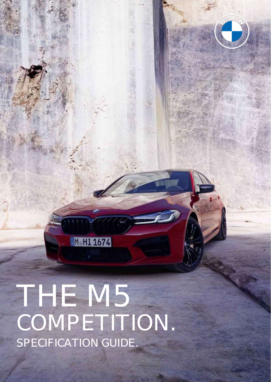THE M5 COMPETITION. SPECIFICATION GUIDE.

M HI 1674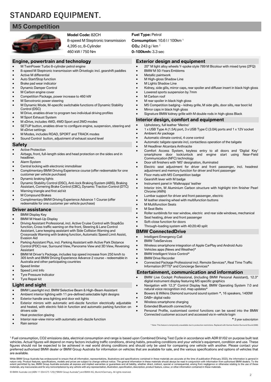# **STANDARD EQUIPMENT.**

## **M5 Competition**



### **Model Code:** 82CH

8-speed M Steptronic transmission 4,395 cc, 8-Cylinder 460 kW / 750 Nm

### **Engine, powertrain and technology**

- M TwinPower Turbo 8-cylinder petrol engine
- 8-speed M Steptronic transmission with Drivelogic incl. gearshift paddles
- Active M differential
- Auto Start/Stop function
- Brake pad wear indicator
- Dynamic Damper Control
- M Carbon engine cover
- Competition Package, power increase to 460 kW
- M Servotronic power steering
- M Dynamic Mode, M-specific switchable functions of Dynamic Stability Control (DSC)
- M Drive, enables driver to program two individual driving profiles
- M Sport Exhaust System
- M xDrive, includes 4WD, 4WD Sport and 2WD modes
- SETUP button, enables driver to configure engine, suspension, steering and M xDrive settings
- M Modes, includes ROAD, SPORT and TRACK modes
- Sound Control button, adjustment of exhaust sound level

#### **Safety**

- Active Protection
- Airbags, front, full-length sides and head protection on the sides and in headliner.
- Alarm System
- Central locking with electronic immobiliser
- Complimentary BMW Driving Experience course (offer redeemable for one customer per vehicle purchase)
- Dynamic braking lights
- Dynamic Stability Control (DSC), Anti-lock Braking System (ABS), Braking Assistant, Cornering Brake Control (CBC), Dynamic Traction Control (DTC)
- Warning triangle and first aid kit
- M Compound Brakes
- Complimentary BMW Driving Experience Advance 1 Course (offer redeemable for one customer per vehicle purchase)

### **Driver assistance**

- **BMW Display Key**
- BMW M Head-Up Display
- Driving Assistant Professional, incl. Active Cruise Control with Stop&Go function, Cross traffic warning on the front, Steering & Lane Control Assistant, Lane keeping assistant with Side Collision Warning and Crossroads Warning with braking function, Automatic Speed Limit Assist, Evasion Aid
- Parking Assistant Plus, incl. Parking Assistant with Active Park Distance Control (PDC) rear, Surround View, Panorama View and 3D View, Reversing Assistant
- BMW M Driver's Package, includes top speed increase from 250 km/h to 305 km/h and BMW Driving Experience Advance 2 course - redeemable in Australia and other participating countries
- Speed limiter
- Speed Limit Info
- **Tyre Pressure Indicator**
- Tyre Repair kit

#### **Light and sight**

- BMW Laserlight incl. BMW Selective Beam & High-Beam Assistant
- Ambient interior lighting with 11 pre-defined selectable light designs
- Exterior handle area lighting and door exit lights
- Exterior mirrors with automatic anti-dazzle function electrically adjustable and heated, with electric fold-in function and automatic parking function on drivers side

© BMW Australia Ltd (ABN 11 004 675 129) ("BMW Group Australia") and BMW AG, Munich/Germany. All rights reserved.

- Heat protection glazing
- Interior rear-view mirror with automatic anti-dazzle function
- Rain sensor

are available.

### **Fuel Type:** Petrol

#### **Consumption:** 10.6 l / 100km <sup>1</sup>

**CO2:** 243 g / km <sup>1</sup>

### **0-100kmh:** 3.3 sec

### **Exterior design and equipment**

- 20" M light alloy wheels Y-spoke style 789 M Bicolour with mixed tyres (2FQ)
- BMW M 50-Years Emblems
- Metallic paintwork
- M High-gloss Shadow Line
- **M Lights Shadow Line**
- Kidney, side gills, mirror caps, rear spoiler and diffuser insert in black high gloss
- Lowered sports suspension by 7mm
- M Carbon roof
- M rear spoiler in black high gloss
- M5 Competition badging kidney grille, M side gills, door sills, rear boot lid
- Mirror caps in black high gloss
- Signature BMW kidney grille with M double rods in high-gloss Black

### **Interior design, comfort and equipment**

#### • Upholstery, full leather 'Merino'

- 1 x USB Type A (1.5A) port, 3 x USB Type C (3.0A) ports and 1 x 12V socket
- Ambient Air package
- Automatic climate control, 4-zone control
- Automatic tailgate operate incl, contactless operation of the tailgate
- M Headliner Alcantara Anthracite
- Comfort Access System, keyless entry to all doors and 'Digital Key' smartphone door lock/unlock and engine start using Near-Field Communication (NFC) technology
- Door sill finishers with 'M5' designation, illuminated
- Electric seat adjustment for driver and front passenger, incl. headrest adjustment and memory function for driver and front passenger
- Floor mats with M5 Competition badge
- Gearshift lever with M badge
- Instrument panel in 'Walknappa' leather
- Interior trim, M Aluminium Carbon structure with highlight trim finisher Pearl Chrome (4WN)
- Lumbar support for driver and front passenger, electric
- M leather steering wheel with multifunction buttons
- **M Multifunction Seats**
- **M** Seat Belts
- Roller sunblinds for rear window, electric and rear side windows, mechanical
- Seat heating, driver and front passenger
- Soft-close function for doors
- Through-loading system with 40:20:40 split

natural voice recognition incl. map updates\*

#### **BMW ConnectedDrive**

- Intelligent Emergency Call
- **BMW TeleServices**
- Wireless smartphone integration of Apple CarPlay and Android Auto
- Vehicles apps (News and Weather)\*
- BMW Intelligent Voice Control\*
- **BMW Drive Recorder**

DAB+ digital radio

• Wireless smartphone charging **Extended Bluetooth connectivity** 

<sup>1</sup> Fuel consumption, CO2 emissions data, electrical consumption and range is based upon Combined Driving Test Cycle in accordance with ADR 81/02 on purpose built test vehicles. Actual figures will depend on many factors including traffic conditions, driving habits, prevailing conditions and your vehicle's equipment, condition and use. These figures should not be expected to be achieved in real world driving conditions and should only be used for comparing one vehicle with another. Please contact your preferred authorised BMW dealer or BMW Group Australia for information on vehicles that are available for sale, and the various specifications and options of vehicles that

While BMW Group Australia has endeavoured to ensure that all information, representations, illustrations and specifications contained in these materials are accurate at the time of publication (February 2022), the informat

• Connected Package Professional incl. Remote Services\*, Real Time Traffic Information (RTTI)\* and Concierge Services\*

### **Entertainment, communication and information**

Connected customer account and accessed via in-vehicle login

• BMW Live Cockpit Professional, (including BMW Personal Assistant), 12.3" digital instrument display featuring M5 specific graphics • Navigation with 12.3" Control Display feat. BMW Operating System 7.0 and

• Bowers & Wilkins Diamond surround sound system **^**, 16 speakers, 1400W

Personal Profile, customised control functions can be saved into the BMW

^ Note: This feature is temporarily unavailable due to production restrictions. Replaced with Harman Kardon Surround Sound (688)

2

**\*** 3 year subscription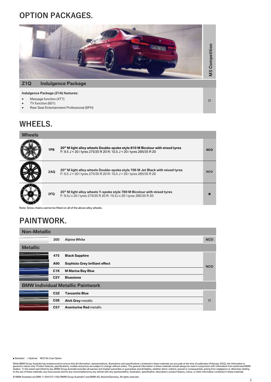# **OPTION PACKAGES.**



#### **Indulgence Package (Z1A) features:**

- Massage function (4T7)
- TV function (601)
- Rear Seat Entertainment Professional (6FH)

# **WHEELS.**

| <b>Wheels</b> |            |                                                                                                                                                      |            |
|---------------|------------|------------------------------------------------------------------------------------------------------------------------------------------------------|------------|
|               | <b>1P8</b> | 20" M light alloy wheels Double-spoke style 810 M Bicolour with mixed tyres<br>F: 9.5 J × 20 / tyres 275/35 R 20 R: 10.5 J × 20 / tyres 285/35 R 20  | <b>NCO</b> |
|               | 2AQ        | 20" M light alloy wheels Double-spoke style 706 M Jet Black with mixed tyres<br>F: 9.5 J × 20 / tyres 275/35 R 20 R: 10.5 J × 20 / tyres 285/35 R 20 | <b>NCO</b> |
|               | 2FQ        | 20" M light alloy wheels Y-spoke style 789 M Bicolour with mixed tyres<br>F: 9.5J x 20 / tyres 275/35 R 20 R: 10.5J x 20 / tyres 285/35 R 20         |            |

Note: Snow chains cannot be fitted on all of the above alloy wheels.

# **PAINTWORK.**

| <b>Non-Metallic</b> |                  |                                          |            |
|---------------------|------------------|------------------------------------------|------------|
|                     | 300              | <b>Alpine White</b>                      | <b>NCO</b> |
| <b>Metallic</b>     |                  |                                          |            |
|                     | 475              | <b>Black Sapphire</b>                    |            |
|                     | A90              | <b>Sophisto Grey brilliant effect</b>    | <b>NCO</b> |
|                     | C1K              | <b>M Marina Bay Blue</b>                 |            |
|                     | C2Y              | <b>Bluestone</b>                         |            |
|                     |                  | <b>BMW Individual Metallic Paintwork</b> |            |
|                     | C <sub>3</sub> Z | <b>Tanzanite Blue</b>                    |            |
|                     | C <sub>5</sub> E | <b>Alvit Grey metallic</b>               | $\Box$     |
|                     | C <sub>57</sub>  | <b>Aventurine Red metallic</b>           |            |

■ Standard □ Optional NCO No Cost Option

While BMW Group Australia has endeavoured to ensure that all information, representations, illustrations and specifications contained in these materials are accurate at the time of publication (February 2022), the informat

 $\Box$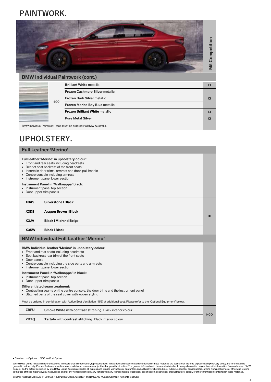# **PAINTWORK.**



|     | <b>BMW Individual Paintwork (cont.)</b>                           |   |
|-----|-------------------------------------------------------------------|---|
|     | <b>Brilliant White metallic</b>                                   | п |
|     | <b>Frozen Cashmere Silver metallic</b>                            |   |
| 490 | <b>Frozen Dark Silver metallic</b>                                | п |
|     | Frozen Marina Bay Blue metallic                                   |   |
|     | <b>Frozen Brilliant White metallic</b>                            | п |
|     | <b>Pure Metal Silver</b>                                          |   |
|     | BMW Individual Paintwork (490) must be ordered via BMW Australia. |   |

# **UPHOLSTERY.**

| <b>Full Leather 'Merino'</b>                                                                                                                                                                                                                                                                                         |                                                                                                                                                                                                                                                   |  |  |
|----------------------------------------------------------------------------------------------------------------------------------------------------------------------------------------------------------------------------------------------------------------------------------------------------------------------|---------------------------------------------------------------------------------------------------------------------------------------------------------------------------------------------------------------------------------------------------|--|--|
| Full leather 'Merino' in upholstery colour:<br>• Front and rear seats including headrests<br>• Rear of seat backrest of the front seats<br>• Inserts in door trims, armrest and door-pull handle<br>• Centre console including armrest<br>• Instrument panel lower section<br>Instrument Panel in 'Walknappa' black: |                                                                                                                                                                                                                                                   |  |  |
| • Door upper trim panels                                                                                                                                                                                                                                                                                             | • Instrument panel top section                                                                                                                                                                                                                    |  |  |
| X3A9                                                                                                                                                                                                                                                                                                                 | <b>Silverstone   Black</b>                                                                                                                                                                                                                        |  |  |
| X3D8                                                                                                                                                                                                                                                                                                                 | Aragon Brown   Black                                                                                                                                                                                                                              |  |  |
| X3JA                                                                                                                                                                                                                                                                                                                 | <b>Black   Midrand Beige</b>                                                                                                                                                                                                                      |  |  |
| X3SW                                                                                                                                                                                                                                                                                                                 | <b>Black   Black</b>                                                                                                                                                                                                                              |  |  |
|                                                                                                                                                                                                                                                                                                                      | <b>BMW Individual Full Leather 'Merino'</b>                                                                                                                                                                                                       |  |  |
| • Door panels                                                                                                                                                                                                                                                                                                        | BMW Individual leather 'Merino' in upholstery colour:<br>• Front and rear seats including headrests<br>• Seat backrest rear trim of the front seats<br>• Centre console including the side parts and armrests<br>• Instrument panel lower section |  |  |
| Instrument Panel in 'Walknappa' in black:<br>• Instrument panel top section<br>• Door upper trim panels                                                                                                                                                                                                              |                                                                                                                                                                                                                                                   |  |  |
|                                                                                                                                                                                                                                                                                                                      | <b>Differentiated seam treatment:</b><br>• Contrasting seams on the centre console, the door trims and the instrument panel<br>• Stitched parts of the seat cover with woven styling                                                              |  |  |
|                                                                                                                                                                                                                                                                                                                      | Must be ordered in combination with Active Seat Ventilation (453) at additional cost. Please refer to the 'Optional Equipment' below.                                                                                                             |  |  |
| <b>ZBFU</b><br>Smoke White with contrast stitching, Black interior colour<br><b>NCO</b>                                                                                                                                                                                                                              |                                                                                                                                                                                                                                                   |  |  |
| <b>ZBTQ</b>                                                                                                                                                                                                                                                                                                          | Tartufo with contrast stitching, Black interior colour                                                                                                                                                                                            |  |  |

■ Standard □ Optional NCO No Cost Option

While BMW Group Australia has endeavoured to ensure that all information, representations, illustrations and specifications contained in these materials are accurate at the time of publication (February 2022), the informat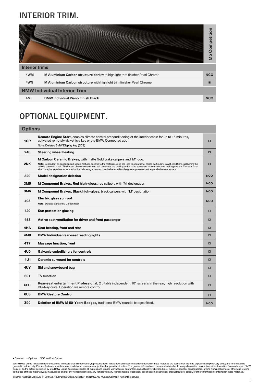# **INTERIOR TRIM.**

|                       |                                                                             | Competition<br>M <sub>5</sub> |
|-----------------------|-----------------------------------------------------------------------------|-------------------------------|
| <b>Interior trims</b> |                                                                             |                               |
| 4WM                   | M Aluminium Carbon structure dark with highlight trim finisher Pearl Chrome | <b>NCO</b>                    |
| 4WN                   | M Aluminium Carbon structure with highlight trim finisher Pearl Chrome      |                               |
|                       | <b>BMW Individual Interior Trim</b>                                         |                               |
| 4ML                   | <b>BMW Individual Piano Finish Black</b>                                    | <b>NCO</b>                    |

# **OPTIONAL EQUIPMENT.**

| <b>Options</b>  |                                                                                                                                                                                                                                                                                                                                                                                                                                                                                                                                                         |            |
|-----------------|---------------------------------------------------------------------------------------------------------------------------------------------------------------------------------------------------------------------------------------------------------------------------------------------------------------------------------------------------------------------------------------------------------------------------------------------------------------------------------------------------------------------------------------------------------|------------|
| 1CR             | Remote Engine Start, enables climate control preconditioning of the interior cabin for up to 15 minutes,<br>activated remotely via vehicle key or the BMW Connected app<br>Note: Deletes BMW Display key (3DS)                                                                                                                                                                                                                                                                                                                                          | □          |
| 248             | <b>Steering wheel heating</b>                                                                                                                                                                                                                                                                                                                                                                                                                                                                                                                           | □          |
| 2NK             | <b>M Carbon Ceramic Brakes,</b> with matte Gold brake calipers and 'M' logo.<br>Note: Dependent on condition and usage, features specific to the materials used can lead to operational noises particularly in wet conditions just before the<br>vehicle comes to a halt. The impact of moisture and road salt can cause the braking action to be equivalent to a conventional braking system. This can, for a<br>short time, be experienced as a reduction in braking action and can be balanced out by greater pressure on the pedal where necessary. | □          |
| 320             | <b>Model designation deletion</b>                                                                                                                                                                                                                                                                                                                                                                                                                                                                                                                       | <b>NCO</b> |
| 3M <sub>5</sub> | M Compound Brakes, Red high-gloss, red calipers with 'M' designation                                                                                                                                                                                                                                                                                                                                                                                                                                                                                    | <b>NCO</b> |
| <b>3M6</b>      | M Compound Brakes, Black high-gloss, black calipers with 'M' designation                                                                                                                                                                                                                                                                                                                                                                                                                                                                                | <b>NCO</b> |
| 403             | Electric glass sunroof<br>Note: Deletes standard M Carbon Roof                                                                                                                                                                                                                                                                                                                                                                                                                                                                                          | <b>NCO</b> |
| 420             | Sun protection glazing                                                                                                                                                                                                                                                                                                                                                                                                                                                                                                                                  | □          |
| 453             | Active seat ventilation for driver and front passenger                                                                                                                                                                                                                                                                                                                                                                                                                                                                                                  | σ          |
| 4HA             | Seat heating, front and rear                                                                                                                                                                                                                                                                                                                                                                                                                                                                                                                            | □          |
| 4M8             | <b>BMW Individual rear-seat reading lights</b>                                                                                                                                                                                                                                                                                                                                                                                                                                                                                                          | □          |
| 4T7             | <b>Massage function, front</b>                                                                                                                                                                                                                                                                                                                                                                                                                                                                                                                          | □          |
| 4U0             | <b>Galvanic embellishers for controls</b>                                                                                                                                                                                                                                                                                                                                                                                                                                                                                                               | □          |
| 4U1             | <b>Ceramic surround for controls</b>                                                                                                                                                                                                                                                                                                                                                                                                                                                                                                                    | □          |
| 4UY             | Ski and snowboard bag                                                                                                                                                                                                                                                                                                                                                                                                                                                                                                                                   | □          |
| 601             | <b>TV</b> function                                                                                                                                                                                                                                                                                                                                                                                                                                                                                                                                      | п          |
| 6FH             | Rear-seat entertainment Professional, 2 tiltable independent 10" screens in the rear, high resolution with<br>Blu-Ray drive. Operation via remote control.                                                                                                                                                                                                                                                                                                                                                                                              | □          |
| 6U8             | <b>BMW Gesture Control</b>                                                                                                                                                                                                                                                                                                                                                                                                                                                                                                                              | □          |
| Z90             | Deletion of BMW M 50-Years Badges, traditional BMW roundel badges fitted.                                                                                                                                                                                                                                                                                                                                                                                                                                                                               | <b>NCO</b> |

■ Standard □ Optional NCO No Cost Option

While BMW Group Australia has endeavoured to ensure that all information, representations, illustrations and specifications contained in these materials are accurate at the time of publication (February 2022), the informat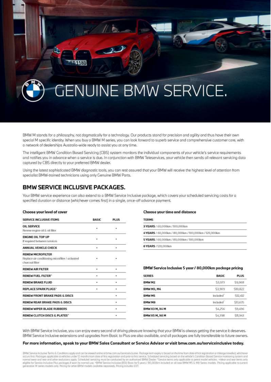# **GENUINE BMW SERVICE.**

BMW M stands for a philosophy, not dogmatically for a technology. Our products stand for precision and agility and thus have their own special M specific identity. When you buy a BMW M series, you can look forward to superb service and comprehensive customer care, with a network of dealerships Australia-wide ready to assist you at any time.

The intelligent BMW Condition Bosed Servicing (CBS) system monitors the individual components of your vehicle's service requirements and notifies you in advance when a service is due. In conjunction with BMW Teleservices, your vehicle then sends all relevant servicing data captured by CBS directly to your preferred BMW dealer.

Using the latest sophisticated BMW diagnostic tools, you can rest assured that your BMW will receive the highest level of attention from specialist BMW-trained technicions using only Genuine BMW Parts.

# **BMW SERVICE INCLUSIVE PACKAGES.**

Your BMW service experience can also extend to a BMW Service Inclusive package, which covers your scheduled servicing costs for a specified duration or distance (whichever comes first) in a single, once-off advance payment.

#### Choose your level of cover

| SERVICE INCLUSIVE ITEMS                                                                        | BASIC | <b>PLUS</b> |
|------------------------------------------------------------------------------------------------|-------|-------------|
| <b>OIL SERVICE</b><br>Renew engine oil & oil filter.                                           |       |             |
| <b>ENGINE OIL TOP UP</b><br>If required between services                                       | r.    |             |
| ANNUAL VEHICLE CHECK                                                                           | ٠     |             |
| <b>RENEW MICROFILTER</b><br>Replace air conditioning microfiter / activated<br>charcool filter |       |             |
| <b>RENEW AIR FILTER</b>                                                                        | ٠     | ٠           |
| <b>RENEW FUEL FILTER*</b>                                                                      | ٠     | ٠           |
| <b>RENEW BRAKE FLUID</b>                                                                       | ٠     | 8           |
| REPLACE SPARK PLUGS*                                                                           | ٠     | ٠           |
| RENEW FRONT RRAKE PADS & DISCS                                                                 |       | ٠           |
| RENEW REAR BRAKE PADS & DISCS                                                                  |       |             |
| RENEW WIPER BLADE RUBBERS                                                                      |       | ٠           |
| RENEW CLUTCH DISCS & PLATES*                                                                   |       |             |

#### **Choose your time and distance**

| <b>TERMS</b>                                         |  |
|------------------------------------------------------|--|
| 3 YEARS / 60,000km / 100,000km                       |  |
| 4YEARS / 60,000km / 80,000km / 100,000km / 120,000km |  |
| 5 YEARS / 60,000km / 80,000km / 100,000km            |  |
| 6 YEARS / 120,000km                                  |  |

### BMW Service Inclusive 5 year / 80,000km package pricing

| <b>SERIES</b>     | <b>BASIC</b> | <b>PLUS</b> |
|-------------------|--------------|-------------|
| BMW M2            | \$3,073      | \$9,068     |
| <b>BMW M3, M4</b> | \$3,909      | \$10,822    |
| <b>BMWM5</b>      | Included     | \$12,412    |
| BMW M8            | Included     | \$13,635    |
| BMW X3 M, X4 M    | 54,256       | \$9,496     |
| BMW X5 M, X6 M    | 885.22       | \$11,943    |
|                   |              |             |

With BMW Service Inclusive, you can enjoy every second of driving pleasure knowing that your BMW is always getting the service it deserves. BMW Service Inclusive extensions and upgrades from Basic to Plus are also available, and all packages are fully transferable to future owners.

#### For more information, speak to your BMW Sales Consultant or Service Advisor or visit bmw.com.au/serviceinclusive today.

BMW Service inclusive Terms & Conditions apply and can be viewed online atomy ustrandence including. Package termegally is based on the time from dote of first registration or mileage traveled, whichever accurs first. Pack generation M series models only. Pricing for other BMW models available separately. Pricing includes GST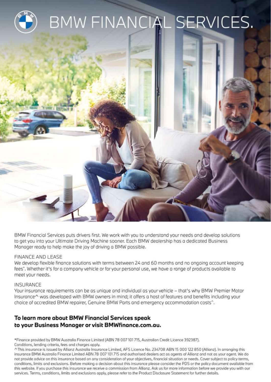

BMW Financial Services puts drivers first. We work with you to understand your needs and develop solutions to get you into your Ultimate Driving Machine sooner. Each BMW dealership has a dedicated Business Manager ready to help make the joy of driving a BMW possible.

## FINANCE AND LEASE

We develop flexible finance solutions with terms between 24 and 60 months and no ongoing account keeping fees". Whether it's for a company vehicle or for your personal use, we have a range of products available to meet your needs.

### INSURANCE

Your insurance requirements can be as unique and individual as your vehicle - that's why BMW Premier Motor Insurance^ was developed with BMW owners in mind; it offers a host of features and benefits including your choice of accredited BMW repairer, Genuine BMW Parts and emergency accommodation costs^.

# To learn more about BMW Financial Services speak to your Business Manager or visit BMWfinance.com.au.

\*Finance provided by BMW Australia Finance Limited (ABN 78 007 101 715, Australian Credit Licence 392387). Conditions, lending criteria, fees and charges apply.

^This insurance is issued by Allianz Australia Insurance Limited, AFS Licence No. 234708 ABN 15 000 122 850 (Allianz). In arranging this insurance BMW Australia Finance Limited ABN 78 007 101 715 and authorised dealers act as agents of Allianz and not as your agent. We do not provide advice on this insurance based on any consideration of your objectives, financial situation or needs. Cover subject to policy terms, conditions, limits and exclusions. Before making a decision about this insurance please consider the PDS or the policy document available from this website. If you purchase this insurance we receive a commission from Allianz. Ask us for more information before we provide you with our services. Terms, conditions, limits and exclusions apply, please refer to the Product Disclosure Statement for further details.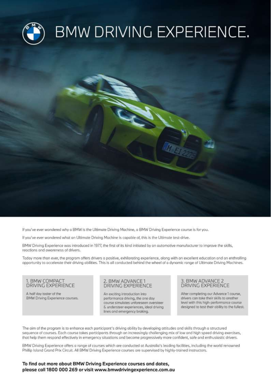

If you've ever wondered why a BMW is the Ultimate Driving Machine, a BMW Driving Experience course is for you.

If you've ever wondered what an Ultimate Driving Machine is capable of, this is the Ultimate test-drive.

BMW Driving Experience was introduced in 1977, the first of its kind initiated by an automotive manufacturer to improve the skills, reactions and awareness of drivers.

Today more than ever, the program offers drivers a positive, exhilarating experience, along with an excellent education and an enthralling opportunity to accelerate their driving abilities. This is all conducted behind the wheel of a dynamic range of Ultimate Driving Machines.

### 1. BMW COMPACT DRIVING EXPERIENCE

A half day taster of the BMW Driving Experience courses.

### 2. BMW ADVANCE 1 **DRIVING EXPERIENCE**

An exciting introduction into performance driving, the one day course simulates unforeseen oversteer & understeer experiences, ideal driving lines and emergency braking.

### 3. BMW ADVANCE 2 DRIVING EXPERIENCE

After completing our Advance 1 course, drivers can take their skills to another level with this high-performance course designed to test their obility to the fullest.

The aim of the program is to enhance each participant's driving ability by developing attitudes and skills through a structured sequence of courses. Each course takes participants through an increasingly challenging mix of low and high speed driving exercises, that help them respond effectively in emergency situations and become progressively more confident, safe and enthusiastic drivers.

BMW Driving Experience offers a range of courses which are conducted at Australia's leading facilities, including the world renowned Phillip Island Grand Prix Circuit. All BMW Driving Experience courses are supervised by highly-trained instructors.

### To find out more about BMW Driving Experience courses and dates, please call 1800 000 269 or visit www.bmwdrivingexperience.com.au